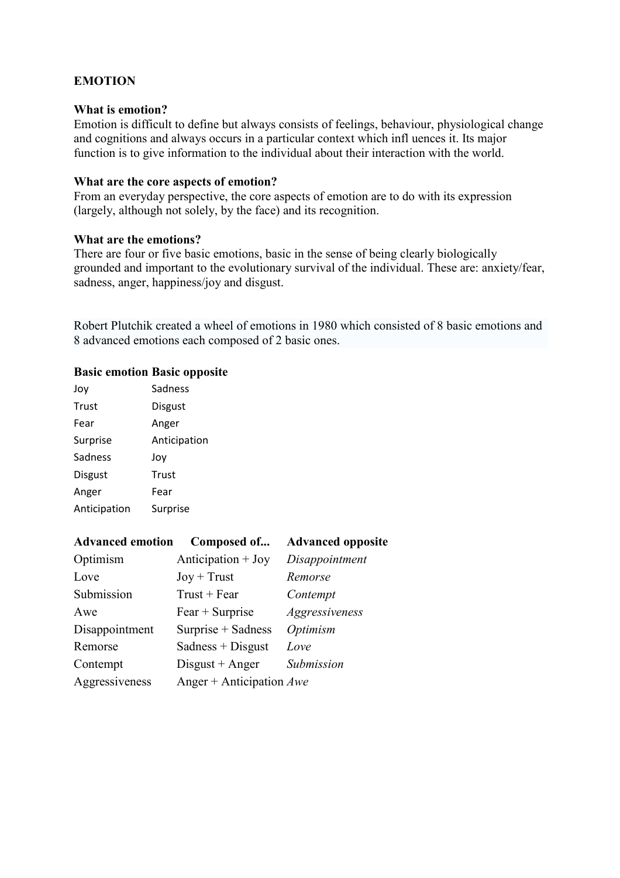# **EMOTION**

# **What is emotion?**

Emotion is difficult to define but always consists of feelings, behaviour, physiological change and cognitions and always occurs in a particular context which infl uences it. Its major function is to give information to the individual about their interaction with the world.

#### **What are the core aspects of emotion?**

From an everyday perspective, the core aspects of emotion are to do with its expression (largely, although not solely, by the face) and its recognition.

#### **What are the emotions?**

There are four or five basic emotions, basic in the sense of being clearly biologically grounded and important to the evolutionary survival of the individual. These are: anxiety/fear, sadness, anger, happiness/joy and disgust.

Robert Plutchik created a wheel of emotions in 1980 which consisted of 8 basic emotions and 8 advanced emotions each composed of 2 basic ones.

#### **Basic emotion Basic opposite**

| Joy            | Sadness      |
|----------------|--------------|
| Trust          | Disgust      |
| Fear           | Anger        |
| Surprise       | Anticipation |
| Sadness        | Joy          |
| <b>Disgust</b> | Trust        |
| Anger          | Fear         |
| Anticipation   | Surprise     |

| <b>Advanced emotion</b> | Composed of                | <b>Advanced opposite</b> |
|-------------------------|----------------------------|--------------------------|
| Optimism                | Anticipation $+$ Joy       | Disappointment           |
| Love                    | $Joy + Trust$              | Remorse                  |
| Submission              | $Trust + Fear$             | Contempt                 |
| Awe                     | $Fear + Surprise$          | Aggressiveness           |
| Disappointment          | Surprise + Sadness         | Optimism                 |
| Remorse                 | $Sades + Disgust$          | Love                     |
| Contempt                | $Disgust + Anger$          | Submission               |
| Aggressiveness          | Anger + Anticipation $Awe$ |                          |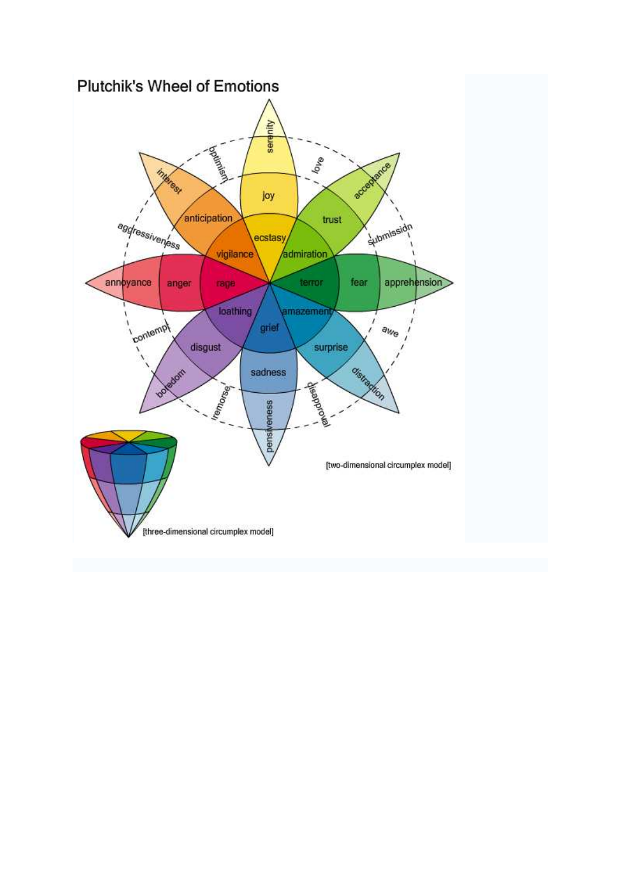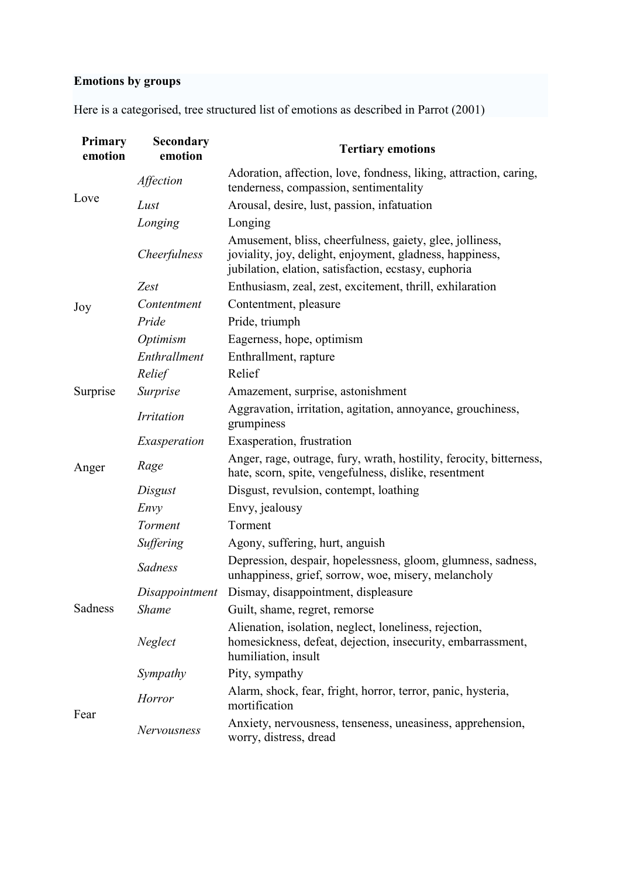# **Emotions by groups**

Here is a categorised, tree structured list of emotions as described in Parrot (2001)

| Primary<br>emotion | Secondary<br>emotion | <b>Tertiary emotions</b>                                                                                                                                                     |
|--------------------|----------------------|------------------------------------------------------------------------------------------------------------------------------------------------------------------------------|
| Love               | Affection            | Adoration, affection, love, fondness, liking, attraction, caring,<br>tenderness, compassion, sentimentality                                                                  |
|                    | Lust                 | Arousal, desire, lust, passion, infatuation                                                                                                                                  |
|                    | Longing              | Longing                                                                                                                                                                      |
|                    | Cheerfulness         | Amusement, bliss, cheerfulness, gaiety, glee, jolliness,<br>joviality, joy, delight, enjoyment, gladness, happiness,<br>jubilation, elation, satisfaction, ecstasy, euphoria |
|                    | Zest                 | Enthusiasm, zeal, zest, excitement, thrill, exhilaration                                                                                                                     |
| Joy                | Contentment          | Contentment, pleasure                                                                                                                                                        |
|                    | Pride                | Pride, triumph                                                                                                                                                               |
|                    | Optimism             | Eagerness, hope, optimism                                                                                                                                                    |
|                    | Enthrallment         | Enthrallment, rapture                                                                                                                                                        |
|                    | Relief               | Relief                                                                                                                                                                       |
| Surprise           | Surprise             | Amazement, surprise, astonishment                                                                                                                                            |
| Anger              | <b>Irritation</b>    | Aggravation, irritation, agitation, annoyance, grouchiness,<br>grumpiness                                                                                                    |
|                    | Exasperation         | Exasperation, frustration                                                                                                                                                    |
|                    | Rage                 | Anger, rage, outrage, fury, wrath, hostility, ferocity, bitterness,<br>hate, scorn, spite, vengefulness, dislike, resentment                                                 |
|                    | Disgust              | Disgust, revulsion, contempt, loathing                                                                                                                                       |
|                    | Envy                 | Envy, jealousy                                                                                                                                                               |
|                    | Torment              | Torment                                                                                                                                                                      |
|                    | Suffering            | Agony, suffering, hurt, anguish                                                                                                                                              |
|                    | <b>Sadness</b>       | Depression, despair, hopelessness, gloom, glumness, sadness,<br>unhappiness, grief, sorrow, woe, misery, melancholy                                                          |
|                    | Disappointment       | Dismay, disappointment, displeasure                                                                                                                                          |
| Sadness            | <b>Shame</b>         | Guilt, shame, regret, remorse                                                                                                                                                |
|                    | Neglect              | Alienation, isolation, neglect, loneliness, rejection,<br>homesickness, defeat, dejection, insecurity, embarrassment,<br>humiliation, insult                                 |
|                    | Sympathy             | Pity, sympathy                                                                                                                                                               |
| Fear               | <b>Horror</b>        | Alarm, shock, fear, fright, horror, terror, panic, hysteria,<br>mortification                                                                                                |
|                    | Nervousness          | Anxiety, nervousness, tenseness, uneasiness, apprehension,<br>worry, distress, dread                                                                                         |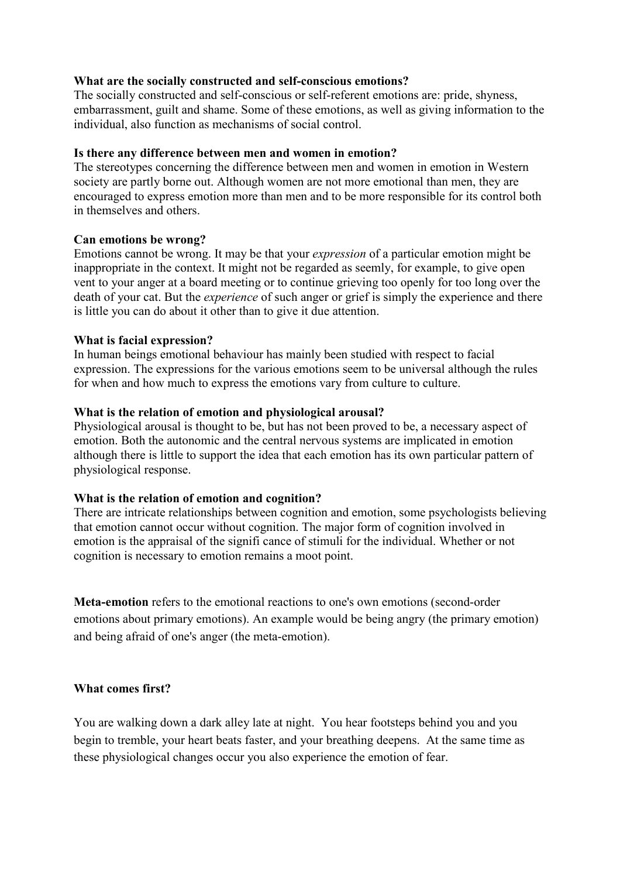# **What are the socially constructed and self-conscious emotions?**

The socially constructed and self-conscious or self-referent emotions are: pride, shyness, embarrassment, guilt and shame. Some of these emotions, as well as giving information to the individual, also function as mechanisms of social control.

# **Is there any difference between men and women in emotion?**

The stereotypes concerning the difference between men and women in emotion in Western society are partly borne out. Although women are not more emotional than men, they are encouraged to express emotion more than men and to be more responsible for its control both in themselves and others.

#### **Can emotions be wrong?**

Emotions cannot be wrong. It may be that your *expression* of a particular emotion might be inappropriate in the context. It might not be regarded as seemly, for example, to give open vent to your anger at a board meeting or to continue grieving too openly for too long over the death of your cat. But the *experience* of such anger or grief is simply the experience and there is little you can do about it other than to give it due attention.

# **What is facial expression?**

In human beings emotional behaviour has mainly been studied with respect to facial expression. The expressions for the various emotions seem to be universal although the rules for when and how much to express the emotions vary from culture to culture.

# **What is the relation of emotion and physiological arousal?**

Physiological arousal is thought to be, but has not been proved to be, a necessary aspect of emotion. Both the autonomic and the central nervous systems are implicated in emotion although there is little to support the idea that each emotion has its own particular pattern of physiological response.

#### **What is the relation of emotion and cognition?**

There are intricate relationships between cognition and emotion, some psychologists believing that emotion cannot occur without cognition. The major form of cognition involved in emotion is the appraisal of the signifi cance of stimuli for the individual. Whether or not cognition is necessary to emotion remains a moot point.

**Meta-emotion** refers to the emotional reactions to one's own emotions (second-order emotions about primary emotions). An example would be being angry (the primary emotion) and being afraid of one's anger (the meta-emotion).

# **What comes first?**

You are walking down a dark alley late at night. You hear footsteps behind you and you begin to tremble, your heart beats faster, and your breathing deepens. At the same time as these physiological changes occur you also experience the emotion of fear.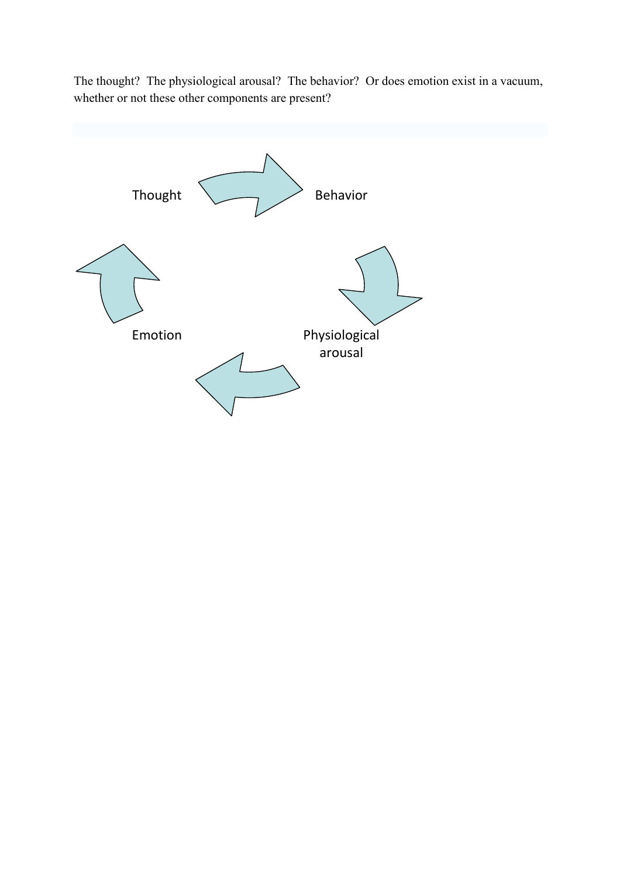The thought? The physiological arousal? The behavior? Or does emotion exist in a vacuum, whether or not these other components are present?

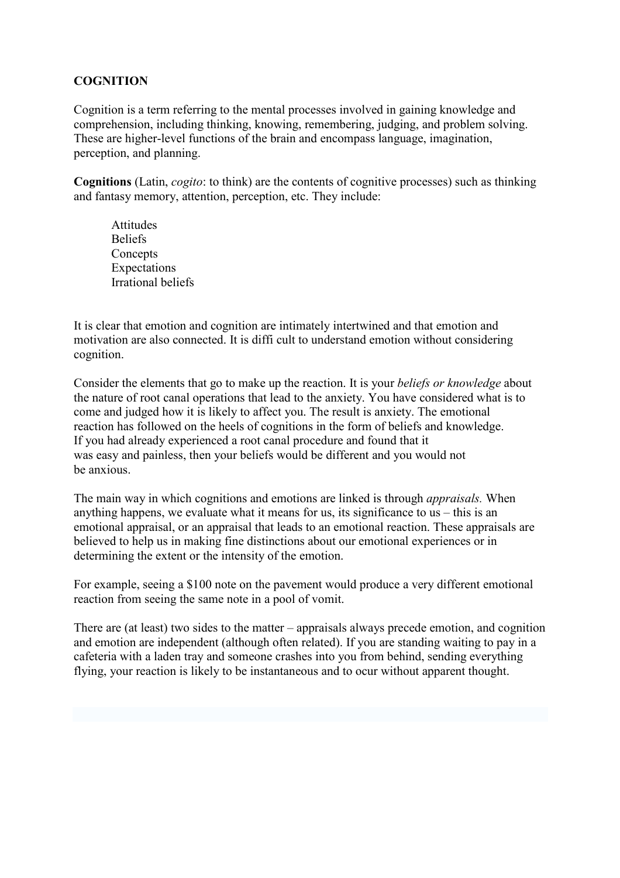# **COGNITION**

Cognition is a term referring to the mental processes involved in gaining knowledge and comprehension, including thinking, knowing, remembering, judging, and problem solving. These are higher-level functions of the brain and encompass language, imagination, perception, and planning.

**Cognitions** (Latin, *cogito*: to think) are the contents of cognitive processes) such as thinking and fantasy memory, attention, perception, etc. They include:

Attitudes Beliefs **Concepts** Expectations Irrational beliefs

It is clear that emotion and cognition are intimately intertwined and that emotion and motivation are also connected. It is diffi cult to understand emotion without considering cognition.

Consider the elements that go to make up the reaction. It is your *beliefs or knowledge* about the nature of root canal operations that lead to the anxiety. You have considered what is to come and judged how it is likely to affect you. The result is anxiety. The emotional reaction has followed on the heels of cognitions in the form of beliefs and knowledge. If you had already experienced a root canal procedure and found that it was easy and painless, then your beliefs would be different and you would not be anxious.

The main way in which cognitions and emotions are linked is through *appraisals.* When anything happens, we evaluate what it means for us, its significance to us – this is an emotional appraisal, or an appraisal that leads to an emotional reaction. These appraisals are believed to help us in making fine distinctions about our emotional experiences or in determining the extent or the intensity of the emotion.

For example, seeing a \$100 note on the pavement would produce a very different emotional reaction from seeing the same note in a pool of vomit.

There are (at least) two sides to the matter – appraisals always precede emotion, and cognition and emotion are independent (although often related). If you are standing waiting to pay in a cafeteria with a laden tray and someone crashes into you from behind, sending everything flying, your reaction is likely to be instantaneous and to ocur without apparent thought.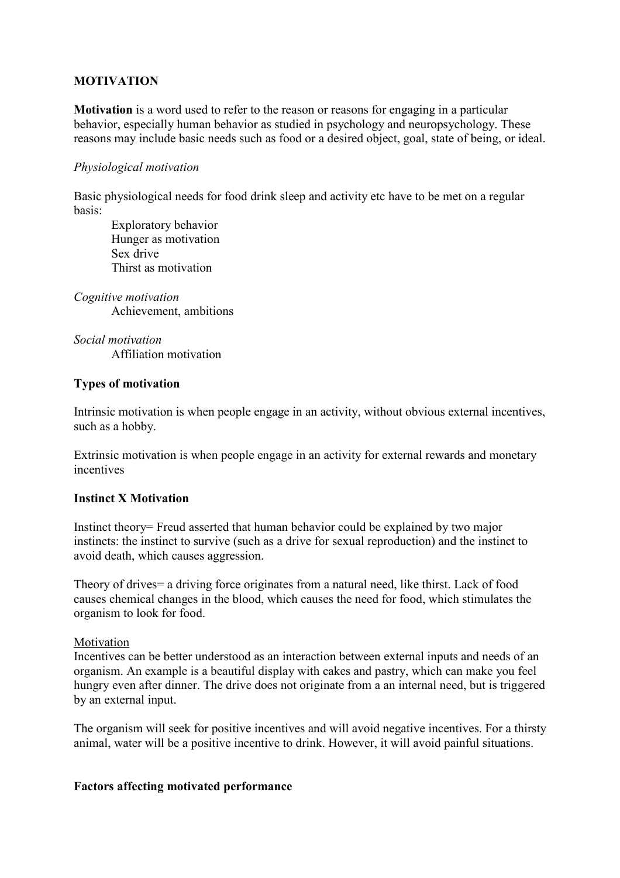# **MOTIVATION**

**Motivation** is a word used to refer to the reason or reasons for engaging in a particular behavior, especially human behavior as studied in psychology and neuropsychology. These reasons may include basic needs such as food or a desired object, goal, state of being, or ideal.

# *Physiological motivation*

Basic physiological needs for food drink sleep and activity etc have to be met on a regular basis:

Exploratory behavior Hunger as motivation Sex drive Thirst as motivation

*Cognitive motivation*  Achievement, ambitions

*Social motivation*  Affiliation motivation

# **Types of motivation**

Intrinsic motivation is when people engage in an activity, without obvious external incentives, such as a hobby.

Extrinsic motivation is when people engage in an activity for external rewards and monetary incentives

# **Instinct X Motivation**

Instinct theory= Freud asserted that human behavior could be explained by two major instincts: the instinct to survive (such as a drive for sexual reproduction) and the instinct to avoid death, which causes aggression.

Theory of drives= a driving force originates from a natural need, like thirst. Lack of food causes chemical changes in the blood, which causes the need for food, which stimulates the organism to look for food.

#### Motivation

Incentives can be better understood as an interaction between external inputs and needs of an organism. An example is a beautiful display with cakes and pastry, which can make you feel hungry even after dinner. The drive does not originate from a an internal need, but is triggered by an external input.

The organism will seek for positive incentives and will avoid negative incentives. For a thirsty animal, water will be a positive incentive to drink. However, it will avoid painful situations.

#### **Factors affecting motivated performance**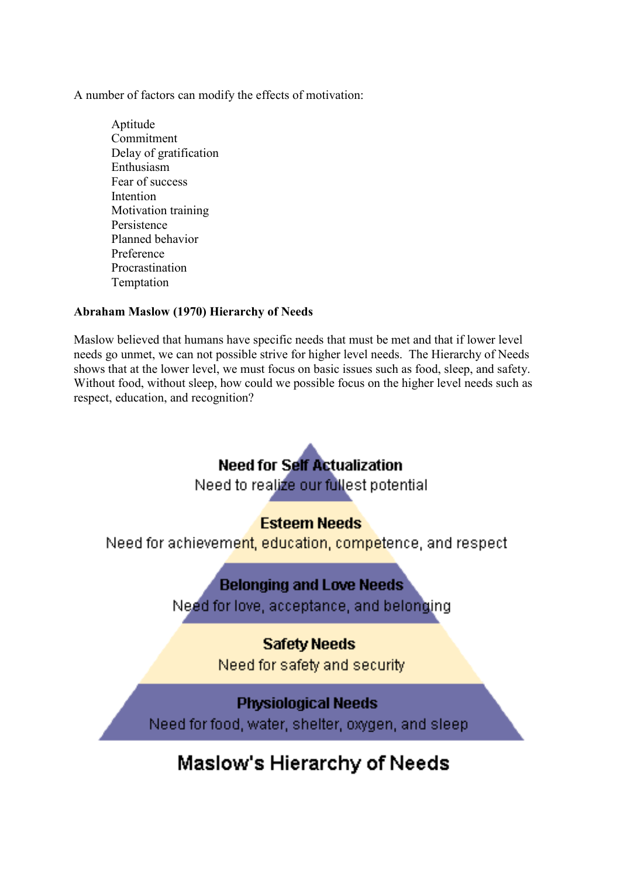A number of factors can modify the effects of motivation:

Aptitude Commitment Delay of gratification Enthusiasm Fear of success Intention Motivation training Persistence Planned behavior Preference Procrastination Temptation

# **Abraham Maslow (1970) Hierarchy of Needs**

Maslow believed that humans have specific needs that must be met and that if lower level needs go unmet, we can not possible strive for higher level needs. The Hierarchy of Needs shows that at the lower level, we must focus on basic issues such as food, sleep, and safety. Without food, without sleep, how could we possible focus on the higher level needs such as respect, education, and recognition?



Need for food, water, shelter, oxygen, and sleep

# **Maslow's Hierarchy of Needs**